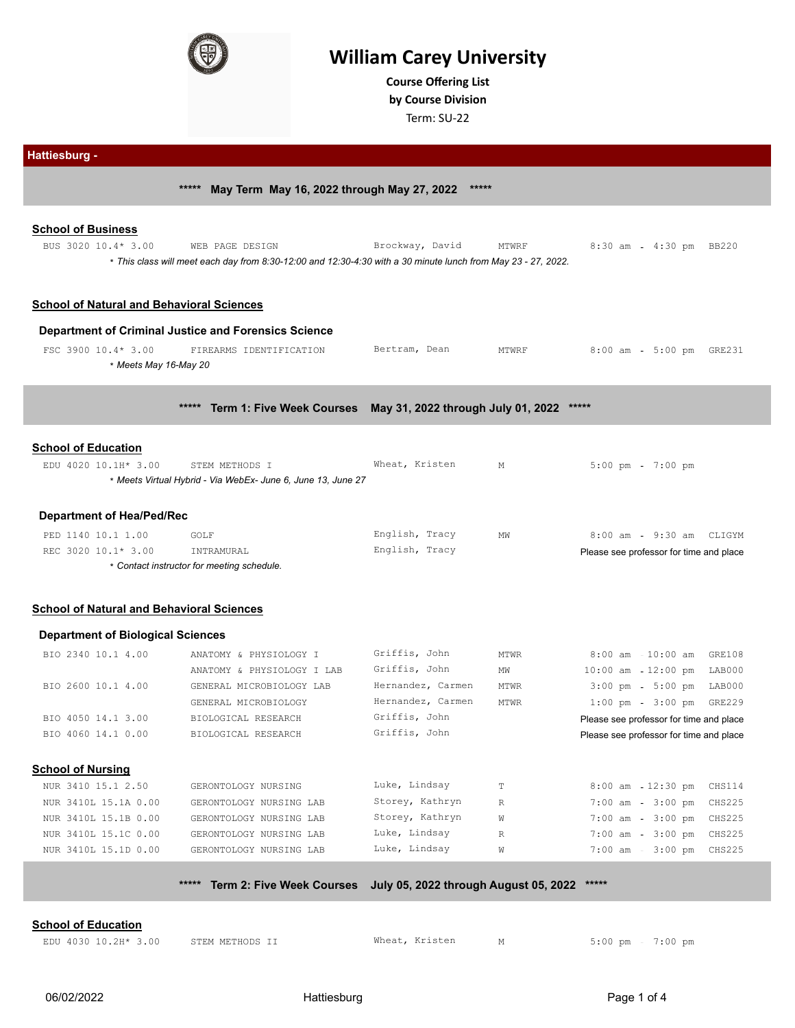

# **William Carey University**

**Course Ofering List by Course Division**

Term: SU-22

|                                                                          | *****<br>May Term May 16, 2022 through May 27, 2022                                                                              | *****             |             |                                         |                                       |                         |
|--------------------------------------------------------------------------|----------------------------------------------------------------------------------------------------------------------------------|-------------------|-------------|-----------------------------------------|---------------------------------------|-------------------------|
| <b>School of Business</b><br>BUS 3020 10.4* 3.00                         | WEB PAGE DESIGN<br>* This class will meet each day from 8:30-12:00 and 12:30-4:30 with a 30 minute lunch from May 23 - 27, 2022. | Brockway, David   | MTWRF       | $8:30$ am                               | 4:30 pm BB220                         |                         |
| <b>School of Natural and Behavioral Sciences</b>                         |                                                                                                                                  |                   |             |                                         |                                       |                         |
|                                                                          | <b>Department of Criminal Justice and Forensics Science</b>                                                                      |                   |             |                                         |                                       |                         |
| FSC 3900 10.4* 3.00<br>* Meets May 16-May 20                             | FIREARMS IDENTIFICATION                                                                                                          | Bertram, Dean     | MTWRF       | $8:00$ am                               | 5:00 pm GRE231                        |                         |
|                                                                          | $****$<br>Term 1: Five Week Courses May 31, 2022 through July 01, 2022                                                           |                   |             |                                         |                                       |                         |
| <b>School of Education</b>                                               |                                                                                                                                  |                   |             |                                         |                                       |                         |
| EDU 4020 10.1H* 3.00                                                     | STEM METHODS I<br>* Meets Virtual Hybrid - Via WebEx- June 6, June 13, June 27                                                   | Wheat, Kristen    | М           | $5:00$ pm                               | $7:00$ pm                             |                         |
| <b>Department of Hea/Ped/Rec</b>                                         |                                                                                                                                  |                   |             |                                         |                                       |                         |
| PED 1140 10.1 1.00                                                       | GOLF                                                                                                                             | English, Tracy    | MW          |                                         | 8:00 am - 9:30 am CLIGYM              |                         |
| REC 3020 10.1* 3.00                                                      | INTRAMURAL<br>* Contact instructor for meeting schedule.                                                                         | English, Tracy    |             | Please see professor for time and place |                                       |                         |
| <b>School of Natural and Behavioral Sciences</b>                         |                                                                                                                                  |                   |             |                                         |                                       |                         |
| <b>Department of Biological Sciences</b>                                 |                                                                                                                                  |                   |             |                                         |                                       |                         |
| BIO 2340 10.1 4.00                                                       | ANATOMY & PHYSIOLOGY I                                                                                                           | Griffis, John     | <b>MTWR</b> |                                         | 8:00 am - 10:00 am GRE108             |                         |
|                                                                          | ANATOMY & PHYSIOLOGY I LAB                                                                                                       | Griffis, John     | MW          | $10:00$ am                              | 12:00 pm                              | LAB000                  |
| BIO 2600 10.1 4.00                                                       | GENERAL MICROBIOLOGY LAB                                                                                                         | Hernandez, Carmen | MTWR        | $3:00$ pm                               | 5:00 pm LAB000                        |                         |
|                                                                          | GENERAL MICROBIOLOGY                                                                                                             | Hernandez, Carmen | MTWR        |                                         | $1:00 \text{ pm } - 3:00 \text{ pm }$ | GRE229                  |
| BIO 4050 14.1 3.00                                                       | BIOLOGICAL RESEARCH                                                                                                              | Griffis, John     |             | Please see professor for time and place |                                       |                         |
|                                                                          | BIOLOGICAL RESEARCH                                                                                                              | Griffis, John     |             | Please see professor for time and place |                                       |                         |
| BIO 4060 14.1 0.00                                                       |                                                                                                                                  |                   |             |                                         |                                       |                         |
|                                                                          |                                                                                                                                  |                   |             |                                         |                                       |                         |
| NUR 3410 15.1 2.50                                                       | GERONTOLOGY NURSING                                                                                                              | Luke, Lindsay     | $\mathbb T$ | $8:00$ am                               | $12:30$ pm                            | CHS114                  |
| NUR 3410L 15.1A 0.00                                                     | GERONTOLOGY NURSING LAB                                                                                                          | Storey, Kathryn   | $\mathbb R$ | $7:00$ am                               | $3:00$ pm                             | CHS225                  |
|                                                                          |                                                                                                                                  | Storey, Kathryn   | W           | $7:00$ am -                             |                                       |                         |
| <b>School of Nursing</b><br>NUR 3410L 15.1B 0.00<br>NUR 3410L 15.1C 0.00 | GERONTOLOGY NURSING LAB<br>GERONTOLOGY NURSING LAB                                                                               | Luke, Lindsay     | $\mathbb R$ | $7:00$ am                               | $3:00$ pm<br>$3:00$ pm                | CHS225<br><b>CHS225</b> |

## **School of Education**

|  | EDU 4030 10.2H* 3. |  |
|--|--------------------|--|
|  |                    |  |

2H\* 3.00 STEM METHODS II Wheat, Kristen M M 5:00 pm - 7:00 pm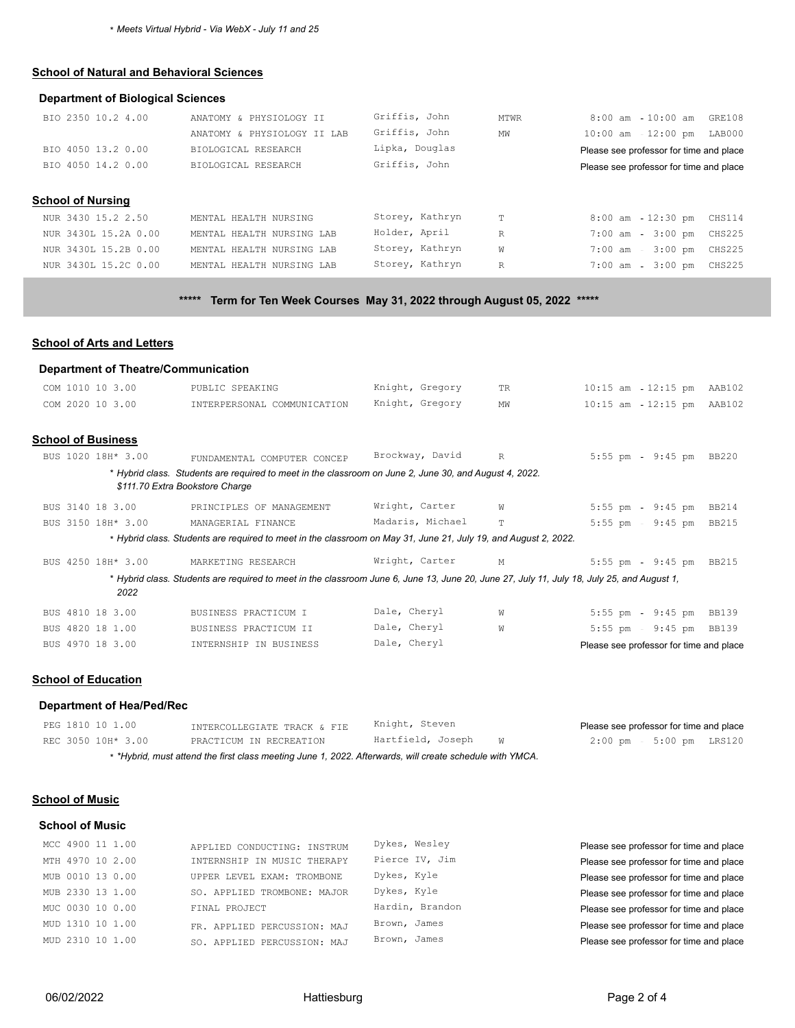\* *Meets Virtual Hybrid - Via WebX - July 11 and 25*

# **School of Natural and Behavioral Sciences**

#### **Department of Biological Sciences**

| BIO 2350 10.2 4.00   | ANATOMY & PHYSIOLOGY II     | Griffis, John   | MTWR         | $8:00$ am $-10:00$ am $GRE108$          |
|----------------------|-----------------------------|-----------------|--------------|-----------------------------------------|
|                      | ANATOMY & PHYSIOLOGY II LAB | Griffis, John   | MW           | 10:00 am - 12:00 pm LAB000              |
| BIO 4050 13.2 0.00   | BIOLOGICAL RESEARCH         | Lipka, Douglas  |              | Please see professor for time and place |
| BIO 4050 14.2 0.00   | BIOLOGICAL RESEARCH         | Griffis, John   |              | Please see professor for time and place |
|                      |                             |                 |              |                                         |
| School of Nursing    |                             |                 |              |                                         |
| NUR 3430 15.2 2.50   | MENTAL HEALTH NURSING       | Storey, Kathryn | T            | 12:30 pm CHS114<br>8:00 am              |
| NUR 3430L 15.2A 0.00 | MENTAL HEALTH NURSING LAB   | Holder, April   | $\mathbb{R}$ | 7:00 am - 3:00 pm CHS225                |
| NUR 3430L 15.2B 0.00 | MENTAL HEALTH NURSING LAB   | Storey, Kathryn | W            | $7:00$ am $-3:00$ pm<br>CHS225          |
| NUR 3430L 15.2C 0.00 | MENTAL HEALTH NURSING LAB   | Storey, Kathryn | $\mathbb{R}$ | $7:00$ am<br>$3:00$ pm<br>CHS225        |
|                      |                             |                 |              |                                         |

# **\*\*\*\*\* Term for Ten Week Courses May 31, 2022 through August 05, 2022 \*\*\*\*\***

# **School of Arts and Letters**

|                                                 | <b>Department of Theatre/Communication</b>                                                                                                 |                  |              |                                         |              |
|-------------------------------------------------|--------------------------------------------------------------------------------------------------------------------------------------------|------------------|--------------|-----------------------------------------|--------------|
| COM 1010 10 3.00                                | PUBLIC SPEAKING                                                                                                                            | Knight, Gregory  | TR.          | $12:15$ pm<br>$10:15$ am                | AAB102       |
| COM 2020 10 3.00                                | INTERPERSONAL COMMUNICATION                                                                                                                | Knight, Gregory  | MW           | $10:15$ am<br>$12:15$ pm                | AAB102       |
|                                                 |                                                                                                                                            |                  |              |                                         |              |
| <b>School of Business</b><br>BUS 1020 18H* 3.00 | FUNDAMENTAL COMPUTER CONCEP                                                                                                                | Brockway, David  | $\mathbb{R}$ | $5:55$ pm<br>$9:45$ pm                  | BB220        |
|                                                 | * Hybrid class. Students are required to meet in the classroom on June 2, June 30, and August 4, 2022.<br>\$111.70 Extra Bookstore Charge  |                  |              |                                         |              |
| BUS 3140 18 3.00                                | PRINCIPLES OF MANAGEMENT                                                                                                                   | Wright, Carter   | W            | $5:55$ pm - $9:45$ pm                   | <b>BB214</b> |
| BUS 3150 18H* 3.00                              | MANAGERIAL FINANCE                                                                                                                         | Madaris, Michael | $\mathbf T$  | $9:45$ pm<br>$5:55$ pm                  | <b>BB215</b> |
|                                                 | * Hybrid class. Students are required to meet in the classroom on May 31, June 21, July 19, and August 2, 2022.                            |                  |              |                                         |              |
| BUS 4250 18H* 3.00                              | MARKETING RESEARCH                                                                                                                         | Wright, Carter   | М            | $5:55$ pm<br>$9:45$ pm                  | <b>BB215</b> |
| 2022                                            | * Hybrid class. Students are required to meet in the classroom June 6, June 13, June 20, June 27, July 11, July 18, July 25, and August 1, |                  |              |                                         |              |
| BUS 4810 18 3.00                                | BUSINESS PRACTICUM I                                                                                                                       | Dale, Cheryl     | W            | $5:55$ pm - $9:45$ pm                   | <b>BB139</b> |
| BUS 4820 18 1.00                                | BUSINESS PRACTICUM II                                                                                                                      | Dale, Cheryl     | W            | $5:55$ pm<br>$9:45$ pm                  | <b>BB139</b> |
| BUS 4970 18 3.00                                | INTERNSHIP IN BUSINESS                                                                                                                     | Dale, Cheryl     |              | Please see professor for time and place |              |
|                                                 |                                                                                                                                            |                  |              |                                         |              |

## **School of Education**

#### **Department of Hea/Ped/Rec**

| PEG 1810 10 1.00                                                                                         | INTERCOLLEGIATE TRACK & FIE | Knight, Steven         |  | Please see professor for time and place |  |  |
|----------------------------------------------------------------------------------------------------------|-----------------------------|------------------------|--|-----------------------------------------|--|--|
| REC 3050 10H* 3.00                                                                                       | PRACTICUM IN RECREATION     | Hartfield, Joseph<br>M |  | 2:00 pm 5:00 pm LRS120                  |  |  |
| * *Hybrid, must attend the first class meeting June 1, 2022. Afterwards, will create schedule with YMCA. |                             |                        |  |                                         |  |  |

#### **School of Music**

#### **School of Music**

| MCC 4900 11 1.00 | APPLIED CONDUCTING: INSTRUM | Dykes, Wesley   | Please see professor for time and place |
|------------------|-----------------------------|-----------------|-----------------------------------------|
| MTH 4970 10 2.00 | INTERNSHIP IN MUSIC THERAPY | Pierce IV, Jim  | Please see professor for time and place |
| MUB 0010 13 0.00 | UPPER LEVEL EXAM: TROMBONE  | Dykes, Kyle     | Please see professor for time and place |
| MUB 2330 13 1.00 | SO. APPLIED TROMBONE: MAJOR | Dykes, Kyle     | Please see professor for time and place |
| MUC 0030 10 0.00 | FINAL PROJECT               | Hardin, Brandon | Please see professor for time and place |
| MUD 1310 10 1.00 | FR. APPLIED PERCUSSION: MAJ | Brown, James    | Please see professor for time and place |
| MUD 2310 10 1.00 | SO. APPLIED PERCUSSION: MAJ | Brown, James    | Please see professor for time and place |
|                  |                             |                 |                                         |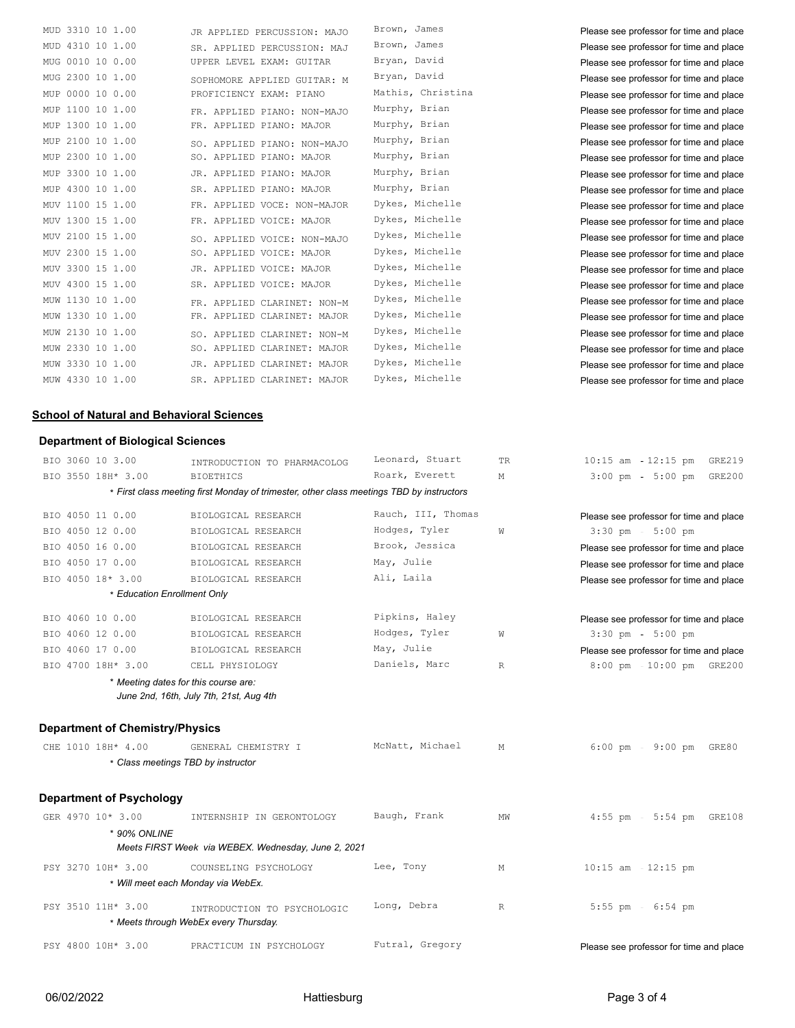| MUD 3310 10 1.00    | JR APPLIED PERCUSSION: MAJO | Brown, James      | Please see professor for time and place |
|---------------------|-----------------------------|-------------------|-----------------------------------------|
| MUD 4310 10 1.00    | SR. APPLIED PERCUSSION: MAJ | Brown, James      | Please see professor for time and place |
| MUG 0010 10 0.00    | UPPER LEVEL EXAM: GUITAR    | Bryan, David      | Please see professor for time and place |
| MUG 2300 10 1.00    | SOPHOMORE APPLIED GUITAR: M | Bryan, David      | Please see professor for time and place |
| MUP 0000 10 0.00    | PROFICIENCY EXAM: PIANO     | Mathis, Christina | Please see professor for time and place |
| MUP 1100 10 1.00    | FR. APPLIED PIANO: NON-MAJO | Murphy, Brian     | Please see professor for time and place |
| MUP 1300 10 1.00    | FR. APPLIED PIANO: MAJOR    | Murphy, Brian     | Please see professor for time and place |
| MUP 2100 10 1.00    | SO. APPLIED PIANO: NON-MAJO | Murphy, Brian     | Please see professor for time and place |
| MUP 2300 10 1.00    | SO. APPLIED PIANO: MAJOR    | Murphy, Brian     | Please see professor for time and place |
| 3300 10 1.00<br>MUP | JR. APPLIED PIANO: MAJOR    | Murphy, Brian     | Please see professor for time and place |
| MUP 4300 10 1.00    | SR. APPLIED PIANO: MAJOR    | Murphy, Brian     | Please see professor for time and place |
| MUV 1100 15 1.00    | FR. APPLIED VOCE: NON-MAJOR | Dykes, Michelle   | Please see professor for time and place |
| MUV 1300 15 1.00    | FR. APPLIED VOICE: MAJOR    | Dykes, Michelle   | Please see professor for time and place |
| MUV 2100 15 1.00    | SO. APPLIED VOICE: NON-MAJO | Dykes, Michelle   | Please see professor for time and place |
| MUV 2300 15 1.00    | SO. APPLIED VOICE: MAJOR    | Dykes, Michelle   | Please see professor for time and place |
| MUV 3300 15 1.00    | JR. APPLIED VOICE: MAJOR    | Dykes, Michelle   | Please see professor for time and place |
| MUV 4300 15 1.00    | SR. APPLIED VOICE: MAJOR    | Dykes, Michelle   | Please see professor for time and place |
| MUW 1130 10 1.00    | FR. APPLIED CLARINET: NON-M | Dykes, Michelle   | Please see professor for time and place |
| MUW 1330 10 1.00    | FR. APPLIED CLARINET: MAJOR | Dykes, Michelle   | Please see professor for time and place |
| MUW 2130 10 1.00    | SO. APPLIED CLARINET: NON-M | Dykes, Michelle   | Please see professor for time and place |
| MUW 2330 10 1.00    | SO. APPLIED CLARINET: MAJOR | Dykes, Michelle   | Please see professor for time and place |
| MUW 3330 10 1.00    | JR. APPLIED CLARINET: MAJOR | Dykes, Michelle   | Please see professor for time and place |
| MUW 4330 10 1.00    | SR. APPLIED CLARINET: MAJOR | Dykes, Michelle   | Please see professor for time and place |
|                     |                             |                   |                                         |

#### **School of Natural and Behavioral Sciences**

#### **Department of Biological Sciences**

| BIO 3060 10 3.00                       | INTRODUCTION TO PHARMACOLOG                                                              | Leonard, Stuart    | TR.          | $10:15$ am $-12:15$ pm<br>GRE219                |
|----------------------------------------|------------------------------------------------------------------------------------------|--------------------|--------------|-------------------------------------------------|
| BIO 3550 18H* 3.00                     | BIOETHICS                                                                                | Roark, Everett     | М            | $3:00$ pm<br>$5:00 \text{ pm}$<br><b>GRE200</b> |
|                                        | * First class meeting first Monday of trimester, other class meetings TBD by instructors |                    |              |                                                 |
| BIO 4050 11 0.00                       | BIOLOGICAL RESEARCH                                                                      | Rauch, III, Thomas |              | Please see professor for time and place         |
| BIO 4050 12 0.00                       | BIOLOGICAL RESEARCH                                                                      | Hodges, Tyler      | W            | $3:30$ pm<br>$5:00$ pm                          |
| BIO 4050 16 0.00                       | BIOLOGICAL RESEARCH                                                                      | Brook, Jessica     |              | Please see professor for time and place         |
| BIO 4050 17 0.00                       | BIOLOGICAL RESEARCH                                                                      | May, Julie         |              | Please see professor for time and place         |
| BIO 4050 18* 3.00                      | BIOLOGICAL RESEARCH                                                                      | Ali, Laila         |              | Please see professor for time and place         |
|                                        | * Education Enrollment Only                                                              |                    |              |                                                 |
| BIO 4060 10 0.00                       | BIOLOGICAL RESEARCH                                                                      | Pipkins, Haley     |              | Please see professor for time and place         |
| BIO 4060 12 0.00                       | BIOLOGICAL RESEARCH                                                                      | Hodges, Tyler      | W            | $3:30$ pm<br>$5:00$ pm                          |
| BIO 4060 17 0.00                       | BIOLOGICAL RESEARCH                                                                      | May, Julie         |              | Please see professor for time and place         |
| BIO 4700 18H* 3.00                     | CELL PHYSIOLOGY                                                                          | Daniels, Marc      | $\mathbb{R}$ | 8:00 pm 10:00 pm GRE200                         |
|                                        | * Meeting dates for this course are:<br>June 2nd, 16th, July 7th, 21st, Aug 4th          |                    |              |                                                 |
| <b>Department of Chemistry/Physics</b> |                                                                                          |                    |              |                                                 |
| CHE 1010 18H* 4.00                     | GENERAL CHEMISTRY I                                                                      | McNatt, Michael    | М            | 6:00 pm - 9:00 pm GRE80                         |
|                                        | * Class meetings TBD by instructor                                                       |                    |              |                                                 |
| <b>Department of Psychology</b>        |                                                                                          |                    |              |                                                 |
| GER 4970 10* 3.00                      | INTERNSHIP IN GERONTOLOGY                                                                | Baugh, Frank       | MW           | 4:55 pm - 5:54 pm GRE108                        |
| * 90% ONLINE                           |                                                                                          |                    |              |                                                 |
|                                        | Meets FIRST Week via WEBEX. Wednesday, June 2, 2021                                      |                    |              |                                                 |
| PSY 3270 10H* 3.00                     | COUNSELING PSYCHOLOGY                                                                    | Lee, Tony          | М            | $10:15$ am $-12:15$ pm                          |
|                                        | * Will meet each Monday via WebEx.                                                       |                    |              |                                                 |
| PSY 3510 11H* 3.00                     | INTRODUCTION TO PSYCHOLOGIC                                                              | Long, Debra        | $\mathbb R$  | $5:55$ pm - $6:54$ pm                           |
|                                        | * Meets through WebEx every Thursday.                                                    |                    |              |                                                 |
| PSY 4800 10H* 3.00                     | PRACTICUM IN PSYCHOLOGY                                                                  | Futral, Gregory    |              | Please see professor for time and place         |
|                                        |                                                                                          |                    |              |                                                 |